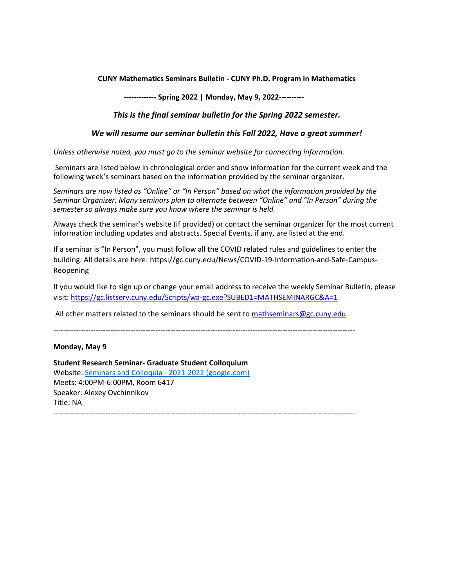# **CUNY Mathematics Seminars Bulletin - CUNY Ph.D. Program in Mathematics**

 **------------- Spring 2022 | Monday, May 9, 2022----------** 

# *This is the final seminar bulletin for the Spring 2022 semester.*

## *We will resume our seminar bulletin this Fall 2022, Have a great summer!*

*Unless otherwise noted, you must go to the seminar website for connecting information.*

Seminars are listed below in chronological order and show information for the current week and the following week's seminars based on the information provided by the seminar organizer.

*Seminars are now listed as "Online" or "In Person" based on what the information provided by the Seminar Organizer. Many seminars plan to alternate between "Online" and "In Person" during the semester so always make sure you know where the seminar is held.*

Always check the seminar's website (if provided) or contact the seminar organizer for the most current information including updates and abstracts. Special Events, if any, are listed at the end.

If a seminar is "In Person", you must follow all the COVID related rules and guidelines to enter the building. All details are here: https://gc.cuny.edu/News/COVID-19-Information-and-Safe-Campus-Reopening

If you would like to sign up or change your email address to receive the weekly Seminar Bulletin, please visit[: https://gc.listserv.cuny.edu/Scripts/wa-gc.exe?SUBED1=MATHSEMINARGC&A=1](https://gc.listserv.cuny.edu/Scripts/wa-gc.exe?SUBED1=MATHSEMINARGC&A=1)

All other matters related to the seminars should be sent to [mathseminars@gc.cuny.edu.](mailto:mathseminars@gc.cuny.edu)

-------------------------------------------------------------------------------------------------------------------------

# **Monday, May 9**

**Student Research Seminar- Graduate Student Colloquium** Website[: Seminars and Colloquia - 2021-2022 \(google.com\)](https://sites.google.com/site/gradcenterseminars/current-seminars/graduate-student-colloquium/2021-2022) Meets: 4:00PM-6:00PM, Room 6417 Speaker: Alexey Ovchinnikov Title: NA -------------------------------------------------------------------------------------------------------------------------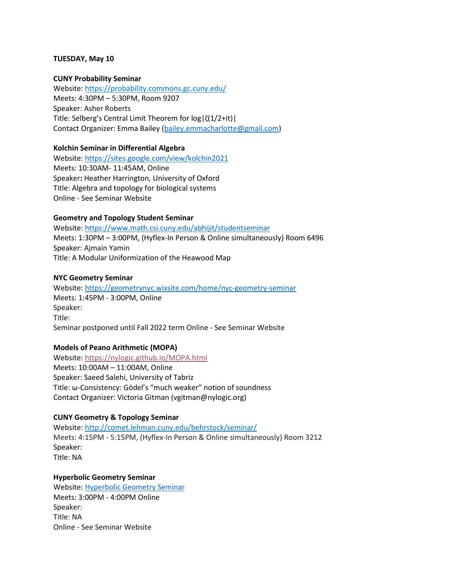# **TUESDAY, May 10**

### **CUNY Probability Seminar**

Website[: https://probability.commons.gc.cuny.edu/](https://probability.commons.gc.cuny.edu/) Meets: 4:30PM – 5:30PM, Room 9207 Speaker: Asher Roberts Title: Selberg's Central Limit Theorem for log|ζ(1/2+it)| Contact Organizer: Emma Bailey [\(bailey.emmacharlotte@gmail.com\)](mailto:bailey.emmacharlotte@gmail.com)

## **Kolchin Seminar in Differential Algebra**

Website[: https://sites.google.com/view/kolchin2021](https://sites.google.com/view/kolchin2021) Meets: 10:30AM- 11:45AM, Online Speaker**:** Heather Harrington, University of Oxford Title: Algebra and topology for biological systems Online - See Seminar Website

## **Geometry and Topology Student Seminar**

Website[: https://www.math.csi.cuny.edu/abhijit/studentseminar](https://www.math.csi.cuny.edu/abhijit/studentseminar)  Meets: 1:30PM – 3:00PM, (Hyflex-In Person & Online simultaneously) Room 6496 Speaker: Ajmain Yamin Title: A Modular Uniformization of the Heawood Map

## **NYC Geometry Seminar**

Website[: https://geometrynyc.wixsite.com/home/nyc-geometry-seminar](https://geometrynyc.wixsite.com/home/nyc-geometry-seminar) Meets: 1:45PM - 3:00PM, Online Speaker: Title: Seminar postponed until Fall 2022 term Online - See Seminar Website

# **Models of Peano Arithmetic (MOPA)**

Website: <https://nylogic.github.io/MOPA.html> Meets: 10:00AM – 11:00AM, Online Speaker: Saeed Salehi, University of Tabriz Title: ω-Consistency: Gödel's "much weaker" notion of soundness Contact Organizer: Victoria Gitman (vgitman@nylogic.org)

# **CUNY Geometry & Topology Seminar**

Website: <http://comet.lehman.cuny.edu/behrstock/seminar/> Meets: 4:15PM - 5:15PM, (Hyflex-In Person & Online simultaneously) Room 3212 Speaker: Title: NA

# **Hyperbolic Geometry Seminar**  Website: [Hyperbolic Geometry Seminar](https://sites.google.com/site/hyperbolicgeometryseminar/home)  Meets: 3:00PM - 4:00PM Online Speaker: Title: NA Online - See Seminar Website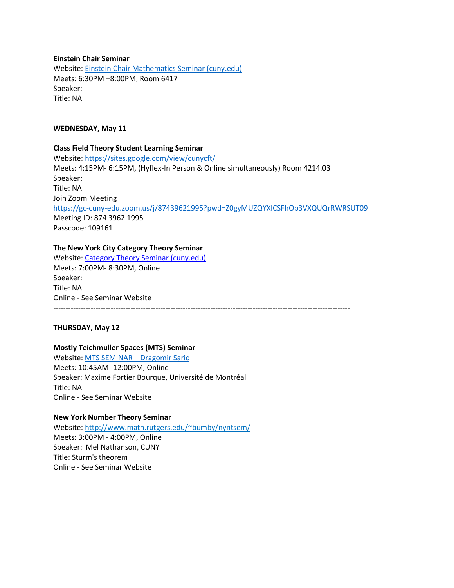**Einstein Chair Seminar**  Website[: Einstein Chair Mathematics Seminar \(cuny.edu\)](https://www.gc.cuny.edu/Page-Elements/Academics-Research-Centers-Initiatives/Doctoral-Programs/Mathematics/Seminars/Einstein-Chair-Mathematics-Seminar) Meets: 6:30PM –8:00PM, Room 6417 Speaker: Title: NA ----------------------------------------------------------------------------------------------------------------------

## **WEDNESDAY, May 11**

### **Class Field Theory Student Learning Seminar**

Website[: https://sites.google.com/view/cunycft/](https://sites.google.com/view/cunycft/)  Meets: 4:15PM- 6:15PM, (Hyflex-In Person & Online simultaneously) Room 4214.03 Speaker**:** Title: NA Join Zoom Meeting <https://gc-cuny-edu.zoom.us/j/87439621995?pwd=Z0gyMUZQYXlCSFhOb3VXQUQrRWRSUT09> Meeting ID: 874 3962 1995 Passcode: 109161

## **The New York City Category Theory Seminar**

Website[: Category Theory Seminar \(cuny.edu\)](http://www.sci.brooklyn.cuny.edu/%7Enoson/Seminar/index.html) Meets: 7:00PM- 8:30PM, Online Speaker: Title: NA Online - See Seminar Website  $-$ 

### **THURSDAY, May 12**

# **Mostly Teichmuller Spaces (MTS) Seminar**

Website: [MTS SEMINAR – Dragomir Saric](https://dragomirsaric.com/mts-seminar/) Meets: 10:45AM- 12:00PM, Online Speaker: Maxime Fortier Bourque, Université de Montréal Title: NA Online - See Seminar Website

### **New York Number Theory Seminar**

Website: [http://www.math.rutgers.edu/~bumby/nyntsem/](http://www.math.rutgers.edu/%7Ebumby/nyntsem/) Meets: 3:00PM - 4:00PM, Online Speaker: Mel Nathanson, CUNY Title: Sturm's theorem Online - See Seminar Website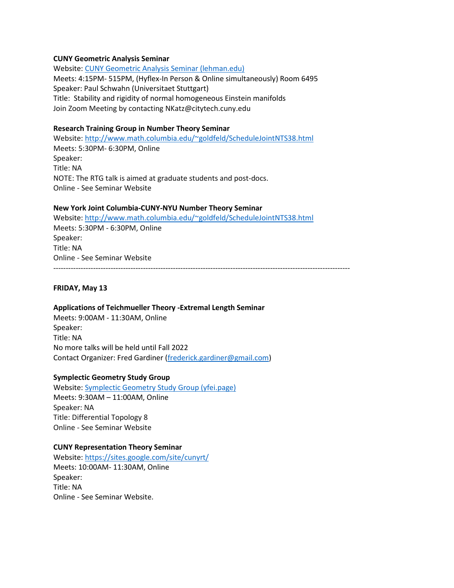### **CUNY Geometric Analysis Seminar**

Website[: CUNY Geometric Analysis Seminar \(lehman.edu\)](https://www.lehman.edu/faculty/rbettiol/seminar.html) Meets: 4:15PM- 515PM, (Hyflex-In Person & Online simultaneously) Room 6495 Speaker: Paul Schwahn (Universitaet Stuttgart) Title: Stability and rigidity of normal homogeneous Einstein manifolds Join Zoom Meeting by contacting NKatz@citytech.cuny.edu

# **Research Training Group in Number Theory Seminar**

Website[: http://www.math.columbia.edu/~goldfeld/ScheduleJointNTS38.html](http://www.math.columbia.edu/%7Egoldfeld/ScheduleJointNTS38.html)  Meets: 5:30PM- 6:30PM, Online Speaker: Title: NA NOTE: The RTG talk is aimed at graduate students and post-docs. Online - See Seminar Website

## **New York Joint Columbia-CUNY-NYU Number Theory Seminar**

Website: [http://www.math.columbia.edu/~goldfeld/ScheduleJointNTS38.html](http://www.math.columbia.edu/%7Egoldfeld/ScheduleJointNTS38.html)  Meets: 5:30PM - 6:30PM, Online Speaker: Title: NA Online - See Seminar Website -----------------------------------------------------------------------------------------------------------------------

# **FRIDAY, May 13**

### **Applications of Teichmueller Theory -Extremal Length Seminar**

Meets: 9:00AM - 11:30AM, Online Speaker: Title: NA No more talks will be held until Fall 2022 Contact Organizer: Fred Gardiner [\(frederick.gardiner@gmail.com\)](mailto:frederick.gardiner@gmail.com)

### **Symplectic Geometry Study Group**

Website[: Symplectic Geometry Study Group \(yfei.page\)](https://yfei.page/seminars/symplecticgeometry/) Meets: 9:30AM – 11:00AM, Online Speaker: NA Title: Differential Topology 8 Online - See Seminar Website

### **CUNY Representation Theory Seminar**

Website[: https://sites.google.com/site/cunyrt/](https://sites.google.com/site/cunyrt/) Meets: 10:00AM- 11:30AM, Online Speaker: Title: NA Online - See Seminar Website.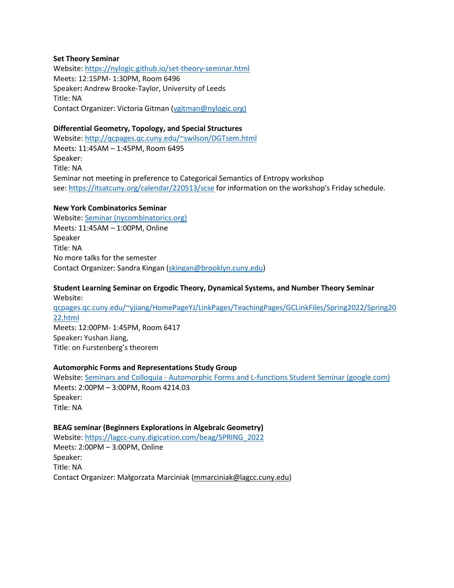### **Set Theory Seminar**

Website[: https://nylogic.github.io/set-theory-seminar.html](https://nylogic.github.io/set-theory-seminar.html) Meets: 12:15PM- 1:30PM, Room 6496 Speaker**:** Andrew Brooke-Taylor, University of Leeds Title: NA Contact Organizer: Victoria Gitman [\(vgitman@nylogic.org\)](mailto:vgitman@nylogic.org)

# **Differential Geometry, Topology, and Special Structures**

Website[: http://qcpages.qc.cuny.edu/~swilson/DGTsem.html](http://qcpages.qc.cuny.edu/%7Eswilson/DGTsem.html)  Meets: 11:45AM – 1:45PM, Room 6495 Speaker: Title: NA Seminar not meeting in preference to Categorical Semantics of Entropy workshop see[: https://itsatcuny.org/calendar/220513/scse](https://itsatcuny.org/calendar/220513/scse) for information on the workshop's Friday schedule.

### **New York Combinatorics Seminar**

Website[: Seminar \(nycombinatorics.org\)](https://www.nycombinatorics.org/seminar) Meets: 11:45AM – 1:00PM, Online Speaker Title: NA No more talks for the semester Contact Organizer: Sandra Kingan [\(skingan@brooklyn.cuny.edu\)](mailto:skingan@brooklyn.cuny.edu)

# **Student Learning Seminar on Ergodic Theory, Dynamical Systems, and Number Theory Seminar** Website:

[qcpages.qc.cuny.edu/~yjiang/HomePageYJ/LinkPages/TeachingPages/GCLinkFiles/Spring2022/Spring20](http://qcpages.qc.cuny.edu/%7Eyjiang/HomePageYJ/LinkPages/TeachingPages/GCLinkFiles/Spring2022/Spring2022.html) [22.html](http://qcpages.qc.cuny.edu/%7Eyjiang/HomePageYJ/LinkPages/TeachingPages/GCLinkFiles/Spring2022/Spring2022.html) Meets: 12:00PM- 1:45PM, Room 6417

Speaker**:** Yushan Jiang, Title: on Furstenberg's theorem

# **Automorphic Forms and Representations Study Group**

Website: [Seminars and Colloquia - Automorphic Forms and L-functions Student Seminar \(google.com\)](https://sites.google.com/site/gradcenterseminars/current-seminars/automorphic-forms-and-l-functions-student-seminar)  Meets: 2:00PM – 3:00PM, Room 4214.03 Speaker: Title: NA

# **BEAG seminar (Beginners Explorations in Algebraic Geometry)**

Website[: https://lagcc-cuny.digication.com/beag/SPRING\\_2022](https://lagcc-cuny.digication.com/beag/SPRING_2022)  Meets: 2:00PM – 3:00PM, Online Speaker: Title: NA Contact Organizer: Małgorzata Marciniak ([mmarciniak@lagcc.cuny.edu\)](mailto:mmarciniak@lagcc.cuny.edu)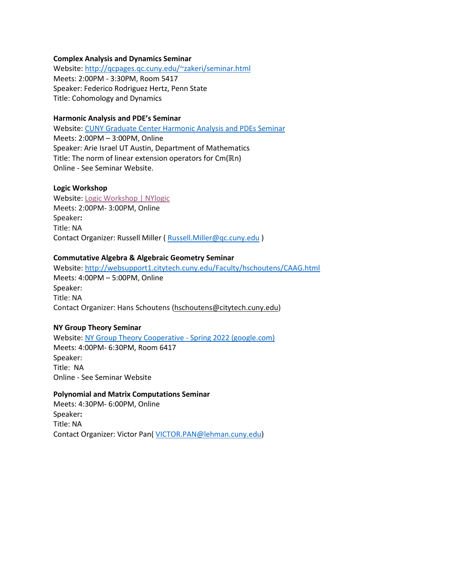### **Complex Analysis and Dynamics Seminar**

Website[: http://qcpages.qc.cuny.edu/~zakeri/seminar.html](http://qcpages.qc.cuny.edu/%7Ezakeri/seminar.html) Meets: 2:00PM - 3:30PM, Room 5417 Speaker: Federico Rodriguez Hertz, Penn State Title: Cohomology and Dynamics

# **Harmonic Analysis and PDE's Seminar**

Website[: CUNY Graduate Center Harmonic Analysis and PDEs Seminar](http://math.hunter.cuny.edu/vmartine/seminar_HA-PDE.html) Meets: 2:00PM – 3:00PM, Online Speaker: Arie Israel UT Austin, Department of Mathematics Title: The norm of linear extension operators for Cm(ℝn) Online - See Seminar Website.

### **Logic Workshop**

Website[: Logic Workshop | NYlogic](https://nylogic.github.io/logic-workshop.html) Meets: 2:00PM- 3:00PM, Online Speaker**:** Title: NA Contact Organizer: Russell Miller ( [Russell.Miller@qc.cuny.edu](mailto:Russell.Miller@qc.cuny.edu) )

#### **Commutative Algebra & Algebraic Geometry Seminar**

Website[: http://websupport1.citytech.cuny.edu/Faculty/hschoutens/CAAG.html](http://websupport1.citytech.cuny.edu/Faculty/hschoutens/CAAG.html)  Meets: 4:00PM – 5:00PM, Online Speaker: Title: NA Contact Organizer: Hans Schoutens [\(hschoutens@citytech.cuny.edu\)](mailto:hschoutens@citytech.cuny.edu)

#### **NY Group Theory Seminar**

Website: [NY Group Theory Cooperative - Spring 2022 \(google.com\)](https://sites.google.com/site/nygrouptheory/spring-2022) Meets: 4:00PM- 6:30PM, Room 6417 Speaker: Title: NA Online - See Seminar Website

#### **Polynomial and Matrix Computations Seminar**

Meets: 4:30PM- 6:00PM, Online Speaker**:** Title: NA Contact Organizer: Victor Pan( [VICTOR.PAN@lehman.cuny.edu\)](mailto:VICTOR.PAN@lehman.cuny.edu)